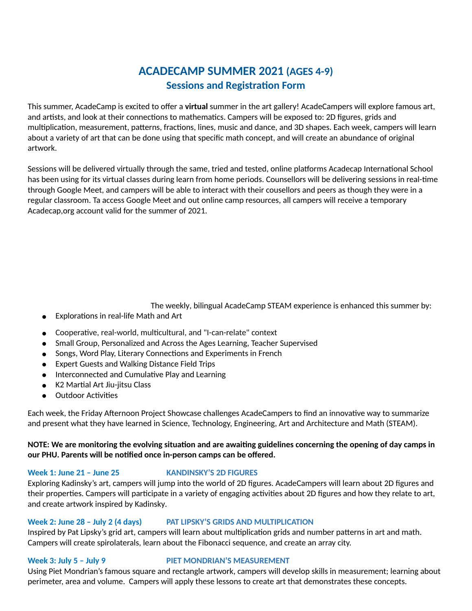# **ACADECAMP SUMMER 2021 (AGES 4-9) Sessions and Registration Form**

This summer, AcadeCamp is excited to offer a **virtual** summer in the art gallery! AcadeCampers will explore famous art, and artists, and look at their connections to mathematics. Campers will be exposed to: 2D figures, grids and multiplication, measurement, patterns, fractions, lines, music and dance, and 3D shapes. Each week, campers will learn about a variety of art that can be done using that specific math concept, and will create an abundance of original artwork.

Sessions will be delivered virtually through the same, tried and tested, online platforms Acadecap International School has been using for its virtual classes during learn from home periods. Counsellors will be delivering sessions in real-time through Google Meet, and campers will be able to interact with their cousellors and peers as though they were in a regular classroom. Ta access Google Meet and out online camp resources, all campers will receive a temporary Acadecap,org account valid for the summer of 2021.

The weekly, bilingual AcadeCamp STEAM experience is enhanced this summer by:

- Explorations in real-life Math and Art
- $\bullet$  Cooperative, real-world, multicultural, and "I-can-relate" context
- Small Group, Personalized and Across the Ages Learning, Teacher Supervised
- Songs, Word Play, Literary Connections and Experiments in French
- Expert Guests and Walking Distance Field Trips
- Interconnected and Cumulative Play and Learning
- K2 Martial Art Jiu-jitsu Class
- Outdoor Activities

Each week, the Friday Afternoon Project Showcase challenges AcadeCampers to find an innovative way to summarize and present what they have learned in Science, Technology, Engineering, Art and Architecture and Math (STEAM).

# NOTE: We are monitoring the evolving situation and are awaiting guidelines concerning the opening of day camps in **our PHU. Parents will be nofied once in-person camps can be offered.**

# **Week 1: June 21 – June 25 KANDINSKY'S 2D FIGURES**

Exploring Kadinsky's art, campers will jump into the world of 2D figures. AcadeCampers will learn about 2D figures and their properties. Campers will participate in a variety of engaging activities about 2D figures and how they relate to art, and create artwork inspired by Kadinsky.

# **Week 2: June 28 – July 2 (4 days) PAT LIPSKY'S GRIDS AND MULTIPLICATION**

Inspired by Pat Lipsky's grid art, campers will learn about multiplication grids and number patterns in art and math. Campers will create spirolaterals, learn about the Fibonacci sequence, and create an array city.

# **Week 3: July 5 – July 9 PIET MONDRIAN'S MEASUREMENT**

Using Piet Mondrian's famous square and rectangle artwork, campers will develop skills in measurement; learning about perimeter, area and volume. Campers will apply these lessons to create art that demonstrates these concepts.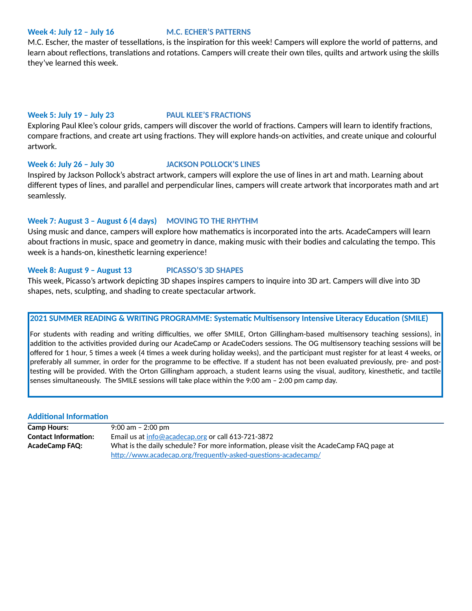### **Week 4: July 12 – July 16 M.C. ECHER'S PATTERNS**

M.C. Escher, the master of tessellations, is the inspiration for this week! Campers will explore the world of patterns, and learn about reflections, translations and rotations. Campers will create their own tiles, quilts and artwork using the skills they've learned this week.

### **Week 5: July 19 – July 23 PAUL KLEE'S FRACTIONS**

Exploring Paul Klee's colour grids, campers will discover the world of fractions. Campers will learn to identify fractions, compare fractions, and create art using fractions. They will explore hands-on activities, and create unique and colourful artwork.

### **Week 6: July 26 – July 30 JACKSON POLLOCK'S LINES**

Inspired by Jackson Pollock's abstract artwork, campers will explore the use of lines in art and math. Learning about different types of lines, and parallel and perpendicular lines, campers will create artwork that incorporates math and art seamlessly.

## **Week 7: August 3 – August 6 (4 days) MOVING TO THE RHYTHM**

Using music and dance, campers will explore how mathematics is incorporated into the arts. AcadeCampers will learn about fractions in music, space and geometry in dance, making music with their bodies and calculating the tempo. This week is a hands-on, kinesthetic learning experience!

### **Week 8: August 9 – August 13 PICASSO'S 3D SHAPES**

This week, Picasso's artwork depicting 3D shapes inspires campers to inquire into 3D art. Campers will dive into 3D shapes, nets, sculpting, and shading to create spectacular artwork.

### **2021 SUMMER READING & WRITING PROGRAMME: Systematic Multisensory Intensive Literacy Education (SMILE)**

For students with reading and writing difficulties, we offer SMILE, Orton Gillingham-based multisensory teaching sessions), in addition to the activities provided during our AcadeCamp or AcadeCoders sessions. The OG multisensory teaching sessions will be offered for 1 hour, 5 times a week (4 times a week during holiday weeks), and the participant must register for at least 4 weeks, or preferably all summer, in order for the programme to be effective. If a student has not been evaluated previously, pre- and posttesting will be provided. With the Orton Gillingham approach, a student learns using the visual, auditory, kinesthetic, and tactile senses simultaneously. The SMILE sessions will take place within the 9:00 am – 2:00 pm camp day.

### **Additional Information**

| <b>Camp Hours:</b>          | 9:00 am - 2:00 pm                                                                        |
|-----------------------------|------------------------------------------------------------------------------------------|
| <b>Contact Information:</b> | Email us at $info@acadecap.org$ or call 613-721-3872                                     |
| <b>AcadeCamp FAQ:</b>       | What is the daily schedule? For more information, please visit the AcadeCamp FAQ page at |
|                             | http://www.acadecap.org/frequently-asked-questions-acadecamp/                            |